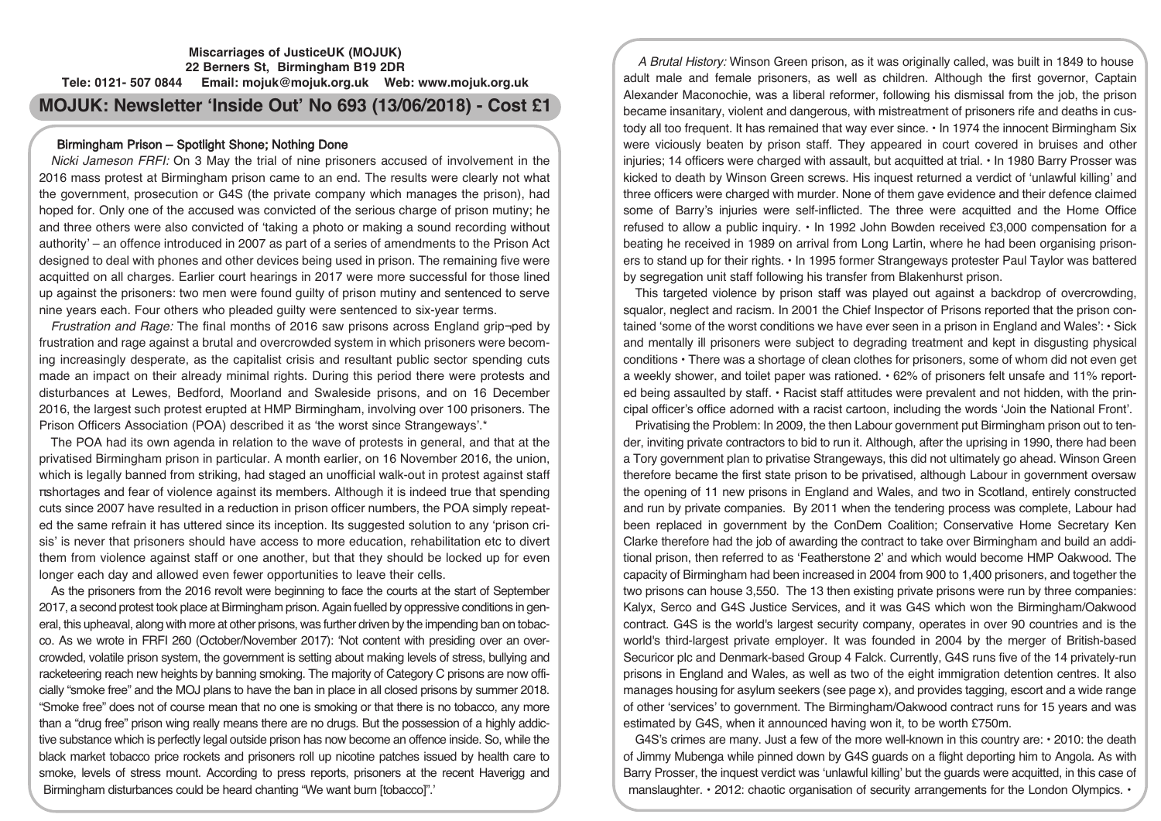# **Miscarriages of JusticeUK (MOJUK) 22 Berners St, Birmingham B19 2DR Tele: 0121- 507 0844 Email: mojuk@mojuk.org.uk Web: www.mojuk.org.uk MOJUK: Newsletter 'Inside Out' No 693 (13/06/2018) - Cost £1**

# Birmingham Prison – Spotlight Shone; Nothing Done

Nicki Jameson FRFI: On 3 May the trial of nine prisoners accused of involvement in the 2016 mass protest at Birmingham prison came to an end. The results were clearly not what the government, prosecution or G4S (the private company which manages the prison), had hoped for. Only one of the accused was convicted of the serious charge of prison mutiny; he and three others were also convicted of 'taking a photo or making a sound recording without authority' – an offence introduced in 2007 as part of a series of amendments to the Prison Act designed to deal with phones and other devices being used in prison. The remaining five were acquitted on all charges. Earlier court hearings in 2017 were more successful for those lined up against the prisoners: two men were found guilty of prison mutiny and sentenced to serve nine years each. Four others who pleaded guilty were sentenced to six-year terms.

Frustration and Rage: The final months of 2016 saw prisons across England grip¬ped by frustration and rage against a brutal and overcrowded system in which prisoners were becoming increasingly desperate, as the capitalist crisis and resultant public sector spending cuts made an impact on their already minimal rights. During this period there were protests and disturbances at Lewes, Bedford, Moorland and Swaleside prisons, and on 16 December 2016, the largest such protest erupted at HMP Birmingham, involving over 100 prisoners. The Prison Officers Association (POA) described it as 'the worst since Strangeways'.\*

The POA had its own agenda in relation to the wave of protests in general, and that at the privatised Birmingham prison in particular. A month earlier, on 16 November 2016, the union, which is legally banned from striking, had staged an unofficial walk-out in protest against staff πshortages and fear of violence against its members. Although it is indeed true that spending cuts since 2007 have resulted in a reduction in prison officer numbers, the POA simply repeated the same refrain it has uttered since its inception. Its suggested solution to any 'prison crisis' is never that prisoners should have access to more education, rehabilitation etc to divert them from violence against staff or one another, but that they should be locked up for even longer each day and allowed even fewer opportunities to leave their cells.

As the prisoners from the 2016 revolt were beginning to face the courts at the start of September 2017, a second protest took place at Birmingham prison. Again fuelled by oppressive conditions in general, this upheaval, along with more at other prisons, was further driven by the impending ban on tobacco. As we wrote in FRFI 260 (October/November 2017): 'Not content with presiding over an overcrowded, volatile prison system, the government is setting about making levels of stress, bullying and racketeering reach new heights by banning smoking. The majority of Category C prisons are now officially "smoke free" and the MOJ plans to have the ban in place in all closed prisons by summer 2018. "Smoke free" does not of course mean that no one is smoking or that there is no tobacco, any more than a "drug free" prison wing really means there are no drugs. But the possession of a highly addictive substance which is perfectly legal outside prison has now become an offence inside. So, while the black market tobacco price rockets and prisoners roll up nicotine patches issued by health care to smoke, levels of stress mount. According to press reports, prisoners at the recent Haverigg and Birmingham disturbances could be heard chanting "We want burn [tobacco]".'

A Brutal History: Winson Green prison, as it was originally called, was built in 1849 to house adult male and female prisoners, as well as children. Although the first governor, Captain Alexander Maconochie, was a liberal reformer, following his dismissal from the job, the prison became insanitary, violent and dangerous, with mistreatment of prisoners rife and deaths in custody all too frequent. It has remained that way ever since. • In 1974 the innocent Birmingham Six were viciously beaten by prison staff. They appeared in court covered in bruises and other injuries; 14 officers were charged with assault, but acquitted at trial. • In 1980 Barry Prosser was kicked to death by Winson Green screws. His inquest returned a verdict of 'unlawful killing' and three officers were charged with murder. None of them gave evidence and their defence claimed some of Barry's injuries were self-inflicted. The three were acquitted and the Home Office refused to allow a public inquiry. • In 1992 John Bowden received £3,000 compensation for a beating he received in 1989 on arrival from Long Lartin, where he had been organising prisoners to stand up for their rights. • In 1995 former Strangeways protester Paul Taylor was battered by segregation unit staff following his transfer from Blakenhurst prison.

This targeted violence by prison staff was played out against a backdrop of overcrowding, squalor, neglect and racism. In 2001 the Chief Inspector of Prisons reported that the prison contained 'some of the worst conditions we have ever seen in a prison in England and Wales': • Sick and mentally ill prisoners were subject to degrading treatment and kept in disgusting physical conditions • There was a shortage of clean clothes for prisoners, some of whom did not even get a weekly shower, and toilet paper was rationed. • 62% of prisoners felt unsafe and 11% reported being assaulted by staff. • Racist staff attitudes were prevalent and not hidden, with the principal officer's office adorned with a racist cartoon, including the words 'Join the National Front'.

Privatising the Problem: In 2009, the then Labour government put Birmingham prison out to tender, inviting private contractors to bid to run it. Although, after the uprising in 1990, there had been a Tory government plan to privatise Strangeways, this did not ultimately go ahead. Winson Green therefore became the first state prison to be privatised, although Labour in government oversaw the opening of 11 new prisons in England and Wales, and two in Scotland, entirely constructed and run by private companies. By 2011 when the tendering process was complete, Labour had been replaced in government by the ConDem Coalition; Conservative Home Secretary Ken Clarke therefore had the job of awarding the contract to take over Birmingham and build an additional prison, then referred to as 'Featherstone 2' and which would become HMP Oakwood. The capacity of Birmingham had been increased in 2004 from 900 to 1,400 prisoners, and together the two prisons can house 3,550. The 13 then existing private prisons were run by three companies: Kalyx, Serco and G4S Justice Services, and it was G4S which won the Birmingham/Oakwood contract. G4S is the world's largest security company, operates in over 90 countries and is the world's third-largest private employer. It was founded in 2004 by the merger of British-based Securicor plc and Denmark-based Group 4 Falck. Currently, G4S runs five of the 14 privately-run prisons in England and Wales, as well as two of the eight immigration detention centres. It also manages housing for asylum seekers (see page x), and provides tagging, escort and a wide range of other 'services' to government. The Birmingham/Oakwood contract runs for 15 years and was estimated by G4S, when it announced having won it, to be worth £750m.

G4S's crimes are many. Just a few of the more well-known in this country are: • 2010: the death of Jimmy Mubenga while pinned down by G4S guards on a flight deporting him to Angola. As with Barry Prosser, the inquest verdict was 'unlawful killing' but the guards were acquitted, in this case of manslaughter. • 2012: chaotic organisation of security arrangements for the London Olympics. •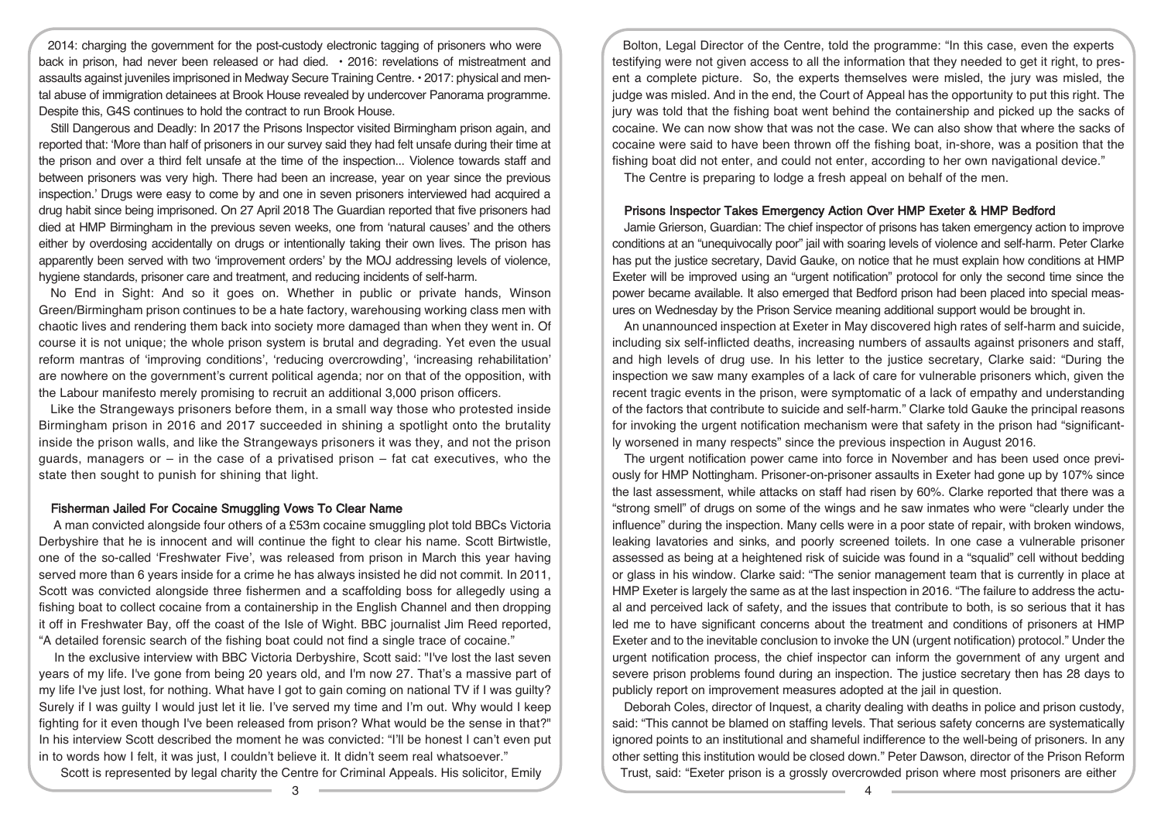2014: charging the government for the post-custody electronic tagging of prisoners who were back in prison, had never been released or had died. • 2016: revelations of mistreatment and assaults against juveniles imprisoned in Medway Secure Training Centre. • 2017: physical and mental abuse of immigration detainees at Brook House revealed by undercover Panorama programme. Despite this, G4S continues to hold the contract to run Brook House.

Still Dangerous and Deadly: In 2017 the Prisons Inspector visited Birmingham prison again, and reported that: 'More than half of prisoners in our survey said they had felt unsafe during their time at the prison and over a third felt unsafe at the time of the inspection... Violence towards staff and between prisoners was very high. There had been an increase, year on year since the previous inspection.' Drugs were easy to come by and one in seven prisoners interviewed had acquired a drug habit since being imprisoned. On 27 April 2018 The Guardian reported that five prisoners had died at HMP Birmingham in the previous seven weeks, one from 'natural causes' and the others either by overdosing accidentally on drugs or intentionally taking their own lives. The prison has apparently been served with two 'improvement orders' by the MOJ addressing levels of violence, hygiene standards, prisoner care and treatment, and reducing incidents of self-harm.

No End in Sight: And so it goes on. Whether in public or private hands, Winson Green/Birmingham prison continues to be a hate factory, warehousing working class men with chaotic lives and rendering them back into society more damaged than when they went in. Of course it is not unique; the whole prison system is brutal and degrading. Yet even the usual reform mantras of 'improving conditions', 'reducing overcrowding', 'increasing rehabilitation' are nowhere on the government's current political agenda; nor on that of the opposition, with the Labour manifesto merely promising to recruit an additional 3,000 prison officers.

Like the Strangeways prisoners before them, in a small way those who protested inside Birmingham prison in 2016 and 2017 succeeded in shining a spotlight onto the brutality inside the prison walls, and like the Strangeways prisoners it was they, and not the prison quards, managers or  $-$  in the case of a privatised prison  $-$  fat cat executives, who the state then sought to punish for shining that light.

## Fisherman Jailed For Cocaine Smuggling Vows To Clear Name

A man convicted alongside four others of a £53m cocaine smuggling plot told BBCs Victoria Derbyshire that he is innocent and will continue the fight to clear his name. Scott Birtwistle, one of the so-called 'Freshwater Five', was released from prison in March this year having served more than 6 years inside for a crime he has always insisted he did not commit. In 2011, Scott was convicted alongside three fishermen and a scaffolding boss for allegedly using a fishing boat to collect cocaine from a containership in the English Channel and then dropping it off in Freshwater Bay, off the coast of the Isle of Wight. BBC journalist Jim Reed reported, "A detailed forensic search of the fishing boat could not find a single trace of cocaine."

In the exclusive interview with BBC Victoria Derbyshire, Scott said: "I've lost the last seven years of my life. I've gone from being 20 years old, and I'm now 27. That's a massive part of my life I've just lost, for nothing. What have I got to gain coming on national TV if I was guilty? Surely if I was guilty I would just let it lie. I've served my time and I'm out. Why would I keep fighting for it even though I've been released from prison? What would be the sense in that?" In his interview Scott described the moment he was convicted: "I'll be honest I can't even put in to words how I felt, it was just, I couldn't believe it. It didn't seem real whatsoever."

Scott is represented by legal charity the Centre for Criminal Appeals. His solicitor, Emily

Bolton, Legal Director of the Centre, told the programme: "In this case, even the experts testifying were not given access to all the information that they needed to get it right, to present a complete picture. So, the experts themselves were misled, the jury was misled, the judge was misled. And in the end, the Court of Appeal has the opportunity to put this right. The jury was told that the fishing boat went behind the containership and picked up the sacks of cocaine. We can now show that was not the case. We can also show that where the sacks of cocaine were said to have been thrown off the fishing boat, in-shore, was a position that the fishing boat did not enter, and could not enter, according to her own navigational device."

The Centre is preparing to lodge a fresh appeal on behalf of the men.

#### Prisons Inspector Takes Emergency Action Over HMP Exeter & HMP Bedford

Jamie Grierson, Guardian: The chief inspector of prisons has taken emergency action to improve conditions at an "unequivocally poor" jail with soaring levels of violence and self-harm. Peter Clarke has put the justice secretary, David Gauke, on notice that he must explain how conditions at HMP Exeter will be improved using an "urgent notification" protocol for only the second time since the power became available. It also emerged that Bedford prison had been placed into special measures on Wednesday by the Prison Service meaning additional support would be brought in.

An unannounced inspection at Exeter in May discovered high rates of self-harm and suicide, including six self-inflicted deaths, increasing numbers of assaults against prisoners and staff, and high levels of drug use. In his letter to the justice secretary, Clarke said: "During the inspection we saw many examples of a lack of care for vulnerable prisoners which, given the recent tragic events in the prison, were symptomatic of a lack of empathy and understanding of the factors that contribute to suicide and self-harm." Clarke told Gauke the principal reasons for invoking the urgent notification mechanism were that safety in the prison had "significantly worsened in many respects" since the previous inspection in August 2016.

The urgent notification power came into force in November and has been used once previously for HMP Nottingham. Prisoner-on-prisoner assaults in Exeter had gone up by 107% since the last assessment, while attacks on staff had risen by 60%. Clarke reported that there was a "strong smell" of drugs on some of the wings and he saw inmates who were "clearly under the influence" during the inspection. Many cells were in a poor state of repair, with broken windows, leaking lavatories and sinks, and poorly screened toilets. In one case a vulnerable prisoner assessed as being at a heightened risk of suicide was found in a "squalid" cell without bedding or glass in his window. Clarke said: "The senior management team that is currently in place at HMP Exeter is largely the same as at the last inspection in 2016. "The failure to address the actual and perceived lack of safety, and the issues that contribute to both, is so serious that it has led me to have significant concerns about the treatment and conditions of prisoners at HMP Exeter and to the inevitable conclusion to invoke the UN (urgent notification) protocol." Under the urgent notification process, the chief inspector can inform the government of any urgent and severe prison problems found during an inspection. The justice secretary then has 28 days to publicly report on improvement measures adopted at the jail in question.

Deborah Coles, director of Inquest, a charity dealing with deaths in police and prison custody, said: "This cannot be blamed on staffing levels. That serious safety concerns are systematically ignored points to an institutional and shameful indifference to the well-being of prisoners. In any other setting this institution would be closed down." Peter Dawson, director of the Prison Reform Trust, said: "Exeter prison is a grossly overcrowded prison where most prisoners are either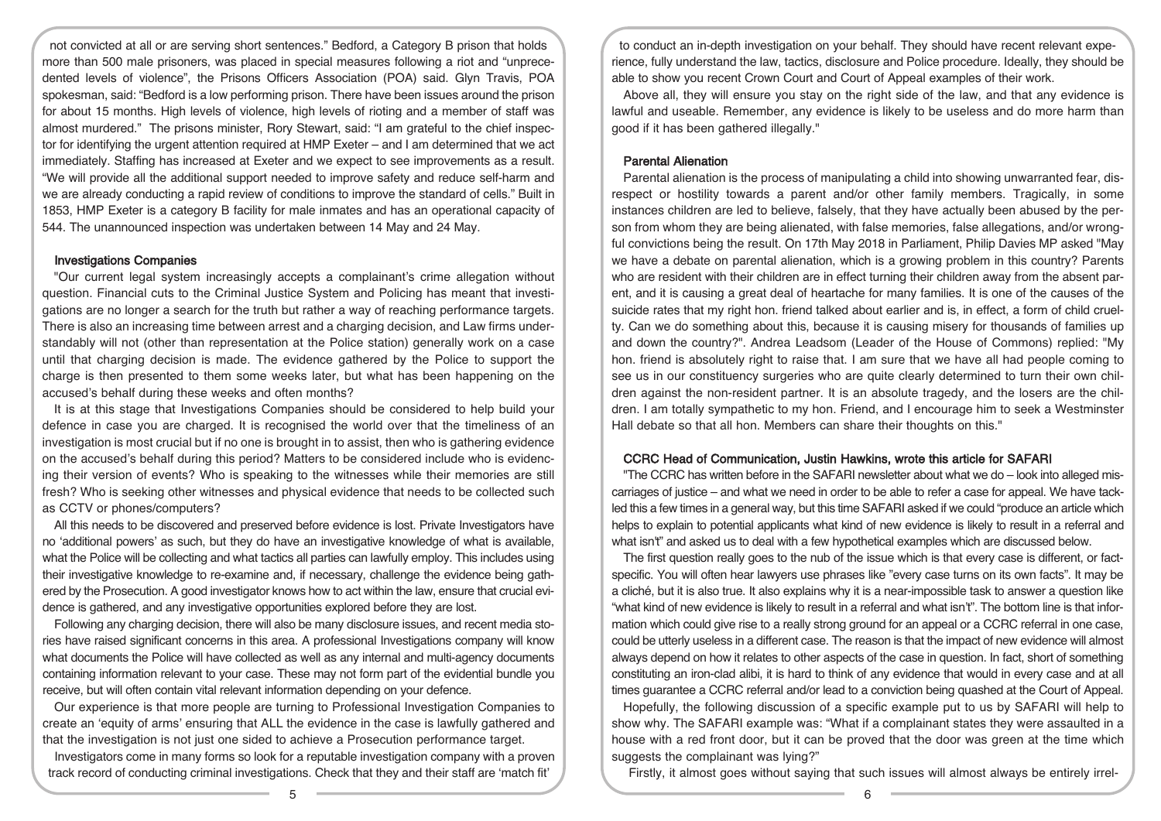not convicted at all or are serving short sentences." Bedford, a Category B prison that holds more than 500 male prisoners, was placed in special measures following a riot and "unprecedented levels of violence", the Prisons Officers Association (POA) said. Glyn Travis, POA spokesman, said: "Bedford is a low performing prison. There have been issues around the prison for about 15 months. High levels of violence, high levels of rioting and a member of staff was almost murdered." The prisons minister, Rory Stewart, said: "I am grateful to the chief inspector for identifying the urgent attention required at HMP Exeter – and I am determined that we act immediately. Staffing has increased at Exeter and we expect to see improvements as a result. "We will provide all the additional support needed to improve safety and reduce self-harm and we are already conducting a rapid review of conditions to improve the standard of cells." Built in 1853, HMP Exeter is a category B facility for male inmates and has an operational capacity of 544. The unannounced inspection was undertaken between 14 May and 24 May.

# Investigations Companies

"Our current legal system increasingly accepts a complainant's crime allegation without question. Financial cuts to the Criminal Justice System and Policing has meant that investigations are no longer a search for the truth but rather a way of reaching performance targets. There is also an increasing time between arrest and a charging decision, and Law firms understandably will not (other than representation at the Police station) generally work on a case until that charging decision is made. The evidence gathered by the Police to support the charge is then presented to them some weeks later, but what has been happening on the accused's behalf during these weeks and often months?

It is at this stage that Investigations Companies should be considered to help build your defence in case you are charged. It is recognised the world over that the timeliness of an investigation is most crucial but if no one is brought in to assist, then who is gathering evidence on the accused's behalf during this period? Matters to be considered include who is evidencing their version of events? Who is speaking to the witnesses while their memories are still fresh? Who is seeking other witnesses and physical evidence that needs to be collected such as CCTV or phones/computers?

All this needs to be discovered and preserved before evidence is lost. Private Investigators have no 'additional powers' as such, but they do have an investigative knowledge of what is available, what the Police will be collecting and what tactics all parties can lawfully employ. This includes using their investigative knowledge to re-examine and, if necessary, challenge the evidence being gathered by the Prosecution. A good investigator knows how to act within the law, ensure that crucial evidence is gathered, and any investigative opportunities explored before they are lost.

Following any charging decision, there will also be many disclosure issues, and recent media stories have raised significant concerns in this area. A professional Investigations company will know what documents the Police will have collected as well as any internal and multi-agency documents containing information relevant to your case. These may not form part of the evidential bundle you receive, but will often contain vital relevant information depending on your defence.

Our experience is that more people are turning to Professional Investigation Companies to create an 'equity of arms' ensuring that ALL the evidence in the case is lawfully gathered and that the investigation is not just one sided to achieve a Prosecution performance target.

Investigators come in many forms so look for a reputable investigation company with a proven track record of conducting criminal investigations. Check that they and their staff are 'match fit'

to conduct an in-depth investigation on your behalf. They should have recent relevant experience, fully understand the law, tactics, disclosure and Police procedure. Ideally, they should be able to show you recent Crown Court and Court of Appeal examples of their work.

Above all, they will ensure you stay on the right side of the law, and that any evidence is lawful and useable. Remember, any evidence is likely to be useless and do more harm than good if it has been gathered illegally."

# Parental Alienation

Parental alienation is the process of manipulating a child into showing unwarranted fear, disrespect or hostility towards a parent and/or other family members. Tragically, in some instances children are led to believe, falsely, that they have actually been abused by the person from whom they are being alienated, with false memories, false allegations, and/or wrongful convictions being the result. On 17th May 2018 in Parliament, Philip Davies MP asked "May we have a debate on parental alienation, which is a growing problem in this country? Parents who are resident with their children are in effect turning their children away from the absent parent, and it is causing a great deal of heartache for many families. It is one of the causes of the suicide rates that my right hon. friend talked about earlier and is, in effect, a form of child cruelty. Can we do something about this, because it is causing misery for thousands of families up and down the country?". Andrea Leadsom (Leader of the House of Commons) replied: "My hon. friend is absolutely right to raise that. I am sure that we have all had people coming to see us in our constituency surgeries who are quite clearly determined to turn their own children against the non-resident partner. It is an absolute tragedy, and the losers are the children. I am totally sympathetic to my hon. Friend, and I encourage him to seek a Westminster Hall debate so that all hon. Members can share their thoughts on this."

# CCRC Head of Communication, Justin Hawkins, wrote this article for SAFARI

"The CCRC has written before in the SAFARI newsletter about what we do – look into alleged miscarriages of justice – and what we need in order to be able to refer a case for appeal. We have tackled this a few times in a general way, but this time SAFARI asked if we could "produce an article which helps to explain to potential applicants what kind of new evidence is likely to result in a referral and what isn't" and asked us to deal with a few hypothetical examples which are discussed below.

The first question really goes to the nub of the issue which is that every case is different, or factspecific. You will often hear lawyers use phrases like "every case turns on its own facts". It may be a cliché, but it is also true. It also explains why it is a near-impossible task to answer a question like "what kind of new evidence is likely to result in a referral and what isn't". The bottom line is that information which could give rise to a really strong ground for an appeal or a CCRC referral in one case, could be utterly useless in a different case. The reason is that the impact of new evidence will almost always depend on how it relates to other aspects of the case in question. In fact, short of something constituting an iron-clad alibi, it is hard to think of any evidence that would in every case and at all times guarantee a CCRC referral and/or lead to a conviction being quashed at the Court of Appeal.

Hopefully, the following discussion of a specific example put to us by SAFARI will help to show why. The SAFARI example was: "What if a complainant states they were assaulted in a house with a red front door, but it can be proved that the door was green at the time which suggests the complainant was lying?"

Firstly, it almost goes without saying that such issues will almost always be entirely irrel-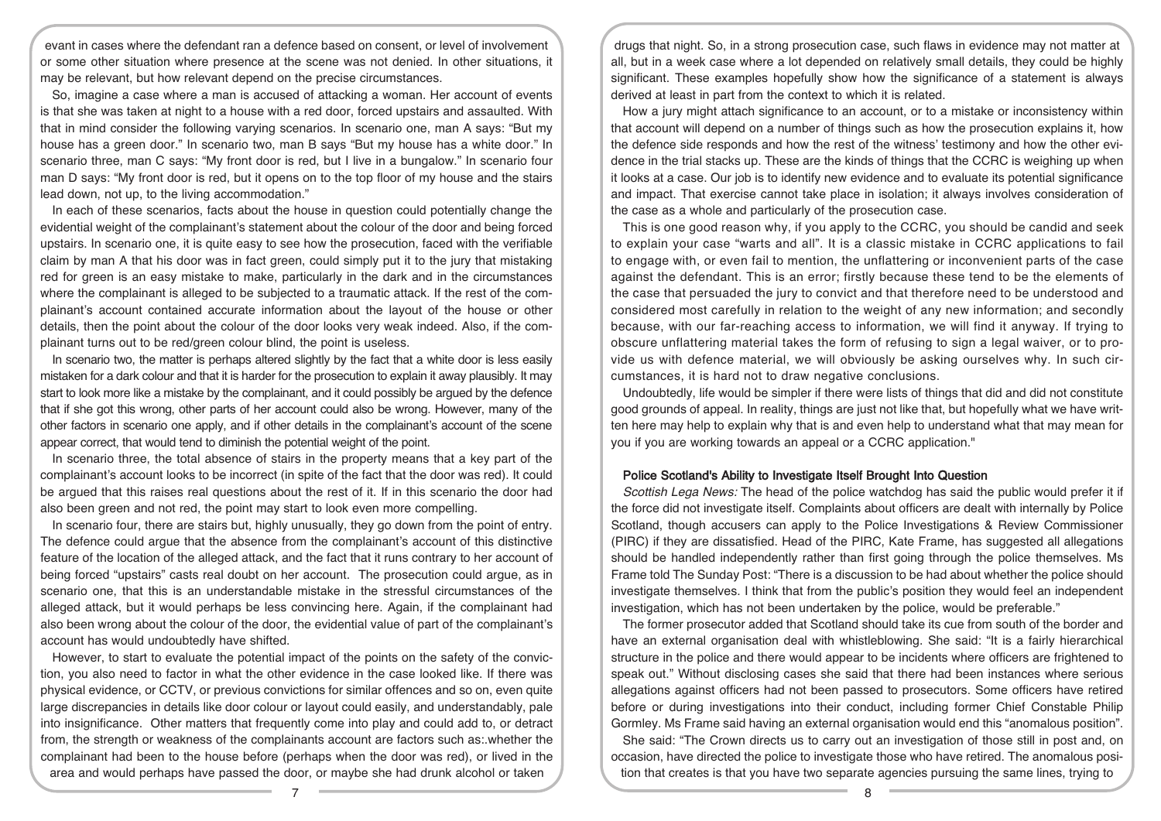evant in cases where the defendant ran a defence based on consent, or level of involvement or some other situation where presence at the scene was not denied. In other situations, it may be relevant, but how relevant depend on the precise circumstances.

So, imagine a case where a man is accused of attacking a woman. Her account of events is that she was taken at night to a house with a red door, forced upstairs and assaulted. With that in mind consider the following varying scenarios. In scenario one, man A says: "But my house has a green door." In scenario two, man B says "But my house has a white door." In scenario three, man C says: "My front door is red, but I live in a bungalow." In scenario four man D says: "My front door is red, but it opens on to the top floor of my house and the stairs lead down, not up, to the living accommodation."

In each of these scenarios, facts about the house in question could potentially change the evidential weight of the complainant's statement about the colour of the door and being forced upstairs. In scenario one, it is quite easy to see how the prosecution, faced with the verifiable claim by man A that his door was in fact green, could simply put it to the jury that mistaking red for green is an easy mistake to make, particularly in the dark and in the circumstances where the complainant is alleged to be subjected to a traumatic attack. If the rest of the complainant's account contained accurate information about the layout of the house or other details, then the point about the colour of the door looks very weak indeed. Also, if the complainant turns out to be red/green colour blind, the point is useless.

In scenario two, the matter is perhaps altered slightly by the fact that a white door is less easily mistaken for a dark colour and that it is harder for the prosecution to explain it away plausibly. It may start to look more like a mistake by the complainant, and it could possibly be argued by the defence that if she got this wrong, other parts of her account could also be wrong. However, many of the other factors in scenario one apply, and if other details in the complainant's account of the scene appear correct, that would tend to diminish the potential weight of the point.

In scenario three, the total absence of stairs in the property means that a key part of the complainant's account looks to be incorrect (in spite of the fact that the door was red). It could be argued that this raises real questions about the rest of it. If in this scenario the door had also been green and not red, the point may start to look even more compelling.

In scenario four, there are stairs but, highly unusually, they go down from the point of entry. The defence could argue that the absence from the complainant's account of this distinctive feature of the location of the alleged attack, and the fact that it runs contrary to her account of being forced "upstairs" casts real doubt on her account. The prosecution could argue, as in scenario one, that this is an understandable mistake in the stressful circumstances of the alleged attack, but it would perhaps be less convincing here. Again, if the complainant had also been wrong about the colour of the door, the evidential value of part of the complainant's account has would undoubtedly have shifted.

However, to start to evaluate the potential impact of the points on the safety of the conviction, you also need to factor in what the other evidence in the case looked like. If there was physical evidence, or CCTV, or previous convictions for similar offences and so on, even quite large discrepancies in details like door colour or layout could easily, and understandably, pale into insignificance. Other matters that frequently come into play and could add to, or detract from, the strength or weakness of the complainants account are factors such as:.whether the complainant had been to the house before (perhaps when the door was red), or lived in the area and would perhaps have passed the door, or maybe she had drunk alcohol or taken

drugs that night. So, in a strong prosecution case, such flaws in evidence may not matter at all, but in a week case where a lot depended on relatively small details, they could be highly significant. These examples hopefully show how the significance of a statement is always derived at least in part from the context to which it is related.

How a jury might attach significance to an account, or to a mistake or inconsistency within that account will depend on a number of things such as how the prosecution explains it, how the defence side responds and how the rest of the witness' testimony and how the other evidence in the trial stacks up. These are the kinds of things that the CCRC is weighing up when it looks at a case. Our job is to identify new evidence and to evaluate its potential significance and impact. That exercise cannot take place in isolation; it always involves consideration of the case as a whole and particularly of the prosecution case.

This is one good reason why, if you apply to the CCRC, you should be candid and seek to explain your case "warts and all". It is a classic mistake in CCRC applications to fail to engage with, or even fail to mention, the unflattering or inconvenient parts of the case against the defendant. This is an error; firstly because these tend to be the elements of the case that persuaded the jury to convict and that therefore need to be understood and considered most carefully in relation to the weight of any new information; and secondly because, with our far-reaching access to information, we will find it anyway. If trying to obscure unflattering material takes the form of refusing to sign a legal waiver, or to provide us with defence material, we will obviously be asking ourselves why. In such circumstances, it is hard not to draw negative conclusions.

Undoubtedly, life would be simpler if there were lists of things that did and did not constitute good grounds of appeal. In reality, things are just not like that, but hopefully what we have written here may help to explain why that is and even help to understand what that may mean for you if you are working towards an appeal or a CCRC application."

#### Police Scotland's Ability to Investigate Itself Brought Into Question

Scottish Lega News: The head of the police watchdog has said the public would prefer it if the force did not investigate itself. Complaints about officers are dealt with internally by Police Scotland, though accusers can apply to the Police Investigations & Review Commissioner (PIRC) if they are dissatisfied. Head of the PIRC, Kate Frame, has suggested all allegations should be handled independently rather than first going through the police themselves. Ms Frame told The Sunday Post: "There is a discussion to be had about whether the police should investigate themselves. I think that from the public's position they would feel an independent investigation, which has not been undertaken by the police, would be preferable."

The former prosecutor added that Scotland should take its cue from south of the border and have an external organisation deal with whistleblowing. She said: "It is a fairly hierarchical structure in the police and there would appear to be incidents where officers are frightened to speak out." Without disclosing cases she said that there had been instances where serious allegations against officers had not been passed to prosecutors. Some officers have retired before or during investigations into their conduct, including former Chief Constable Philip Gormley. Ms Frame said having an external organisation would end this "anomalous position".

She said: "The Crown directs us to carry out an investigation of those still in post and, on occasion, have directed the police to investigate those who have retired. The anomalous position that creates is that you have two separate agencies pursuing the same lines, trying to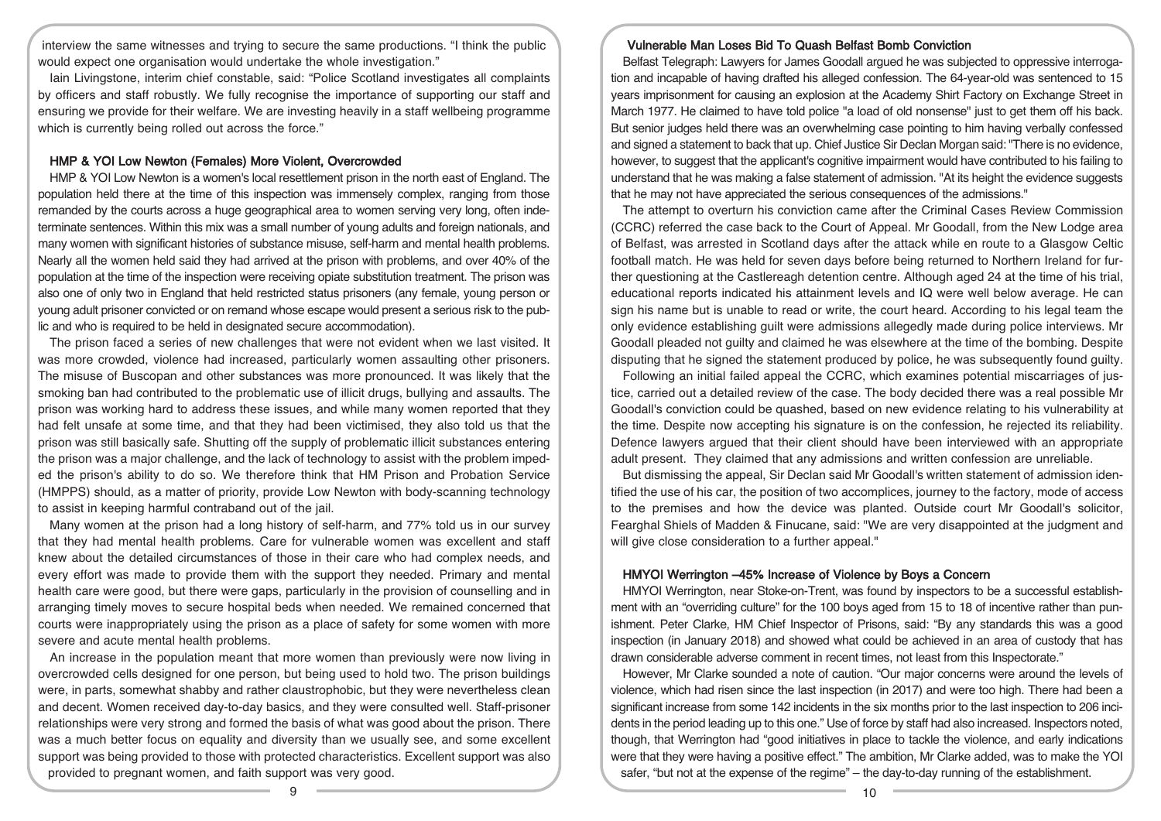interview the same witnesses and trying to secure the same productions. "I think the public would expect one organisation would undertake the whole investigation."

Iain Livingstone, interim chief constable, said: "Police Scotland investigates all complaints by officers and staff robustly. We fully recognise the importance of supporting our staff and ensuring we provide for their welfare. We are investing heavily in a staff wellbeing programme which is currently being rolled out across the force."

# HMP & YOI Low Newton (Females) More Violent, Overcrowded

HMP & YOI Low Newton is a women's local resettlement prison in the north east of England. The population held there at the time of this inspection was immensely complex, ranging from those remanded by the courts across a huge geographical area to women serving very long, often indeterminate sentences. Within this mix was a small number of young adults and foreign nationals, and many women with significant histories of substance misuse, self-harm and mental health problems. Nearly all the women held said they had arrived at the prison with problems, and over 40% of the population at the time of the inspection were receiving opiate substitution treatment. The prison was also one of only two in England that held restricted status prisoners (any female, young person or young adult prisoner convicted or on remand whose escape would present a serious risk to the public and who is required to be held in designated secure accommodation).

The prison faced a series of new challenges that were not evident when we last visited. It was more crowded, violence had increased, particularly women assaulting other prisoners. The misuse of Buscopan and other substances was more pronounced. It was likely that the smoking ban had contributed to the problematic use of illicit drugs, bullying and assaults. The prison was working hard to address these issues, and while many women reported that they had felt unsafe at some time, and that they had been victimised, they also told us that the prison was still basically safe. Shutting off the supply of problematic illicit substances entering the prison was a major challenge, and the lack of technology to assist with the problem impeded the prison's ability to do so. We therefore think that HM Prison and Probation Service (HMPPS) should, as a matter of priority, provide Low Newton with body-scanning technology to assist in keeping harmful contraband out of the jail.

Many women at the prison had a long history of self-harm, and 77% told us in our survey that they had mental health problems. Care for vulnerable women was excellent and staff knew about the detailed circumstances of those in their care who had complex needs, and every effort was made to provide them with the support they needed. Primary and mental health care were good, but there were gaps, particularly in the provision of counselling and in arranging timely moves to secure hospital beds when needed. We remained concerned that courts were inappropriately using the prison as a place of safety for some women with more severe and acute mental health problems.

An increase in the population meant that more women than previously were now living in overcrowded cells designed for one person, but being used to hold two. The prison buildings were, in parts, somewhat shabby and rather claustrophobic, but they were nevertheless clean and decent. Women received day-to-day basics, and they were consulted well. Staff-prisoner relationships were very strong and formed the basis of what was good about the prison. There was a much better focus on equality and diversity than we usually see, and some excellent support was being provided to those with protected characteristics. Excellent support was also provided to pregnant women, and faith support was very good.

# Vulnerable Man Loses Bid To Quash Belfast Bomb Conviction

Belfast Telegraph: Lawyers for James Goodall argued he was subjected to oppressive interrogation and incapable of having drafted his alleged confession. The 64-year-old was sentenced to 15 years imprisonment for causing an explosion at the Academy Shirt Factory on Exchange Street in March 1977. He claimed to have told police "a load of old nonsense" just to get them off his back. But senior judges held there was an overwhelming case pointing to him having verbally confessed and signed a statement to back that up. Chief Justice Sir Declan Morgan said: "There is no evidence, however, to suggest that the applicant's cognitive impairment would have contributed to his failing to understand that he was making a false statement of admission. "At its height the evidence suggests that he may not have appreciated the serious consequences of the admissions."

The attempt to overturn his conviction came after the Criminal Cases Review Commission (CCRC) referred the case back to the Court of Appeal. Mr Goodall, from the New Lodge area of Belfast, was arrested in Scotland days after the attack while en route to a Glasgow Celtic football match. He was held for seven days before being returned to Northern Ireland for further questioning at the Castlereagh detention centre. Although aged 24 at the time of his trial, educational reports indicated his attainment levels and IQ were well below average. He can sign his name but is unable to read or write, the court heard. According to his legal team the only evidence establishing guilt were admissions allegedly made during police interviews. Mr Goodall pleaded not guilty and claimed he was elsewhere at the time of the bombing. Despite disputing that he signed the statement produced by police, he was subsequently found guilty.

Following an initial failed appeal the CCRC, which examines potential miscarriages of justice, carried out a detailed review of the case. The body decided there was a real possible Mr Goodall's conviction could be quashed, based on new evidence relating to his vulnerability at the time. Despite now accepting his signature is on the confession, he rejected its reliability. Defence lawyers argued that their client should have been interviewed with an appropriate adult present. They claimed that any admissions and written confession are unreliable.

But dismissing the appeal, Sir Declan said Mr Goodall's written statement of admission identified the use of his car, the position of two accomplices, journey to the factory, mode of access to the premises and how the device was planted. Outside court Mr Goodall's solicitor, Fearghal Shiels of Madden & Finucane, said: "We are very disappointed at the judgment and will give close consideration to a further appeal."

#### HMYOI Werrington –45% Increase of Violence by Boys a Concern

HMYOI Werrington, near Stoke-on-Trent, was found by inspectors to be a successful establishment with an "overriding culture" for the 100 boys aged from 15 to 18 of incentive rather than punishment. Peter Clarke, HM Chief Inspector of Prisons, said: "By any standards this was a good inspection (in January 2018) and showed what could be achieved in an area of custody that has drawn considerable adverse comment in recent times, not least from this Inspectorate."

However, Mr Clarke sounded a note of caution. "Our major concerns were around the levels of violence, which had risen since the last inspection (in 2017) and were too high. There had been a significant increase from some 142 incidents in the six months prior to the last inspection to 206 incidents in the period leading up to this one." Use of force by staff had also increased. Inspectors noted, though, that Werrington had "good initiatives in place to tackle the violence, and early indications were that they were having a positive effect." The ambition, Mr Clarke added, was to make the YOI safer, "but not at the expense of the regime" – the day-to-day running of the establishment.